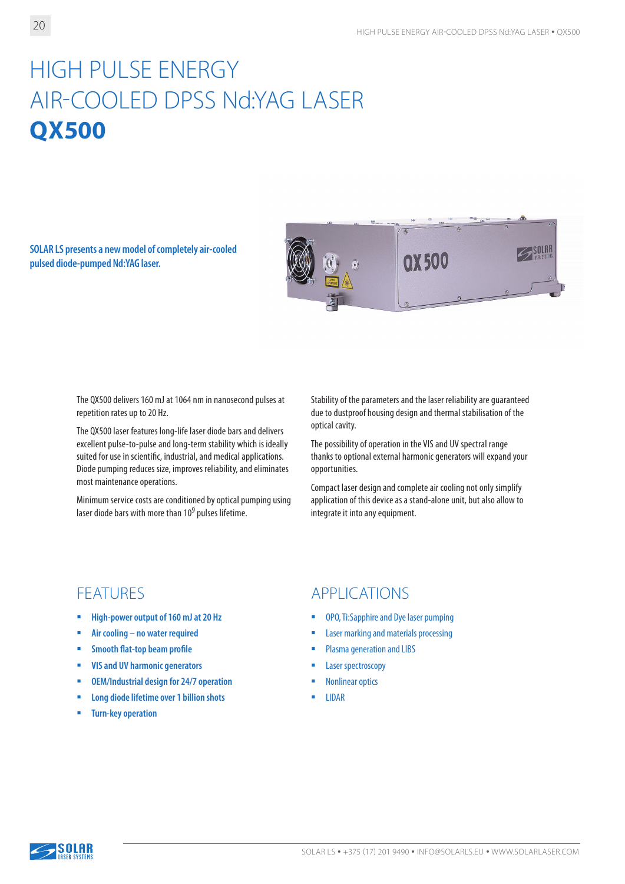# HIGH PULSE ENERGY AIR-COOLED DPSS Nd:YAG LASER **QX500**

**SOLAR LS presents a new model of completely air-cooled pulsed diode-pumped Nd:YAG laser.**



The QX500 delivers 160 mJ at 1064 nm in nanosecond pulses at repetition rates up to 20 Hz.

The QX500 laser features long-life laser diode bars and delivers excellent pulse-to-pulse and long-term stability which is ideally suited for use in scientific, industrial, and medical applications. Diode pumping reduces size, improves reliability, and eliminates most maintenance operations.

Minimum service costs are conditioned by optical pumping using laser diode bars with more than 109 pulses lifetime.

Stability of the parameters and the laser reliability are guaranteed due to dustproof housing design and thermal stabilisation of the optical cavity.

The possibility of operation in the VIS and UV spectral range thanks to optional external harmonic generators will expand your opportunities.

Compact laser design and complete air cooling not only simplify application of this device as a stand-alone unit, but also allow to integrate it into any equipment.

- **High-power output of 160 mJ at 20 Hz**
- **Air cooling no water required**
- **Smooth flat-top beam profile**
- **VIS and UV harmonic generators**
- **OEM/Industrial design for 24/7 operation**
- **Long diode lifetime over 1 billion shots**
- **Turn-key operation**

### FEATURES APPLICATIONS

- **OPO, Ti:Sapphire and Dye laser pumping**
- **EXECUTE:** Laser marking and materials processing
- **Plasma generation and LIBS**
- **Laser spectroscopy**
- Nonlinear optics
- **LIDAR**